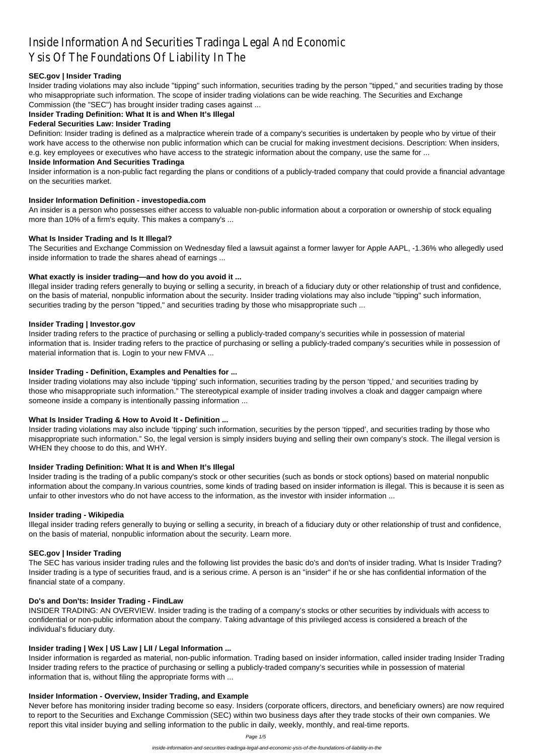# Inside Information And Securities Tradinga Legal And Economic Ysis Of The Foundations Of Liability In The

## **SEC.gov | Insider Trading**

Insider trading violations may also include "tipping" such information, securities trading by the person "tipped," and securities trading by those who misappropriate such information. The scope of insider trading violations can be wide reaching. The Securities and Exchange Commission (the "SEC") has brought insider trading cases against ...

## **Insider Trading Definition: What It is and When It's Illegal**

#### **Federal Securities Law: Insider Trading**

Definition: Insider trading is defined as a malpractice wherein trade of a company's securities is undertaken by people who by virtue of their work have access to the otherwise non public information which can be crucial for making investment decisions. Description: When insiders, e.g. key employees or executives who have access to the strategic information about the company, use the same for ...

#### **Inside Information And Securities Tradinga**

Insider information is a non-public fact regarding the plans or conditions of a publicly-traded company that could provide a financial advantage on the securities market.

#### **Insider Information Definition - investopedia.com**

An insider is a person who possesses either access to valuable non-public information about a corporation or ownership of stock equaling more than 10% of a firm's equity. This makes a company's ...

#### **What Is Insider Trading and Is It Illegal?**

The Securities and Exchange Commission on Wednesday filed a lawsuit against a former lawyer for Apple AAPL, -1.36% who allegedly used inside information to trade the shares ahead of earnings ...

#### **What exactly is insider trading—and how do you avoid it ...**

Illegal insider trading refers generally to buying or selling a security, in breach of a fiduciary duty or other relationship of trust and confidence, on the basis of material, nonpublic information about the security. Insider trading violations may also include "tipping" such information, securities trading by the person "tipped," and securities trading by those who misappropriate such ...

## **Insider Trading | Investor.gov**

Insider trading refers to the practice of purchasing or selling a publicly-traded company's securities while in possession of material information that is. Insider trading refers to the practice of purchasing or selling a publicly-traded company's securities while in possession of material information that is. Login to your new FMVA ...

#### **Insider Trading - Definition, Examples and Penalties for ...**

Insider trading violations may also include 'tipping' such information, securities trading by the person 'tipped,' and securities trading by those who misappropriate such information." The stereotypical example of insider trading involves a cloak and dagger campaign where someone inside a company is intentionally passing information ...

## **What Is Insider Trading & How to Avoid It - Definition ...**

Insider trading violations may also include 'tipping' such information, securities by the person 'tipped', and securities trading by those who misappropriate such information." So, the legal version is simply insiders buying and selling their own company's stock. The illegal version is WHEN they choose to do this, and WHY.

## **Insider Trading Definition: What It is and When It's Illegal**

Insider trading is the trading of a public company's stock or other securities (such as bonds or stock options) based on material nonpublic information about the company.In various countries, some kinds of trading based on insider information is illegal. This is because it is seen as unfair to other investors who do not have access to the information, as the investor with insider information ...

## **Insider trading - Wikipedia**

Illegal insider trading refers generally to buying or selling a security, in breach of a fiduciary duty or other relationship of trust and confidence, on the basis of material, nonpublic information about the security. Learn more.

## **SEC.gov | Insider Trading**

The SEC has various insider trading rules and the following list provides the basic do's and don'ts of insider trading. What Is Insider Trading? Insider trading is a type of securities fraud, and is a serious crime. A person is an "insider" if he or she has confidential information of the financial state of a company.

#### **Do's and Don'ts: Insider Trading - FindLaw**

INSIDER TRADING: AN OVERVIEW. Insider trading is the trading of a company's stocks or other securities by individuals with access to confidential or non-public information about the company. Taking advantage of this privileged access is considered a breach of the individual's fiduciary duty.

#### **Insider trading | Wex | US Law | LII / Legal Information ...**

Insider information is regarded as material, non-public information. Trading based on insider information, called insider trading Insider Trading Insider trading refers to the practice of purchasing or selling a publicly-traded company's securities while in possession of material information that is, without filing the appropriate forms with ...

#### **Insider Information - Overview, Insider Trading, and Example**

Never before has monitoring insider trading become so easy. Insiders (corporate officers, directors, and beneficiary owners) are now required to report to the Securities and Exchange Commission (SEC) within two business days after they trade stocks of their own companies. We report this vital insider buying and selling information to the public in daily, weekly, monthly, and real-time reports.

Page 1/5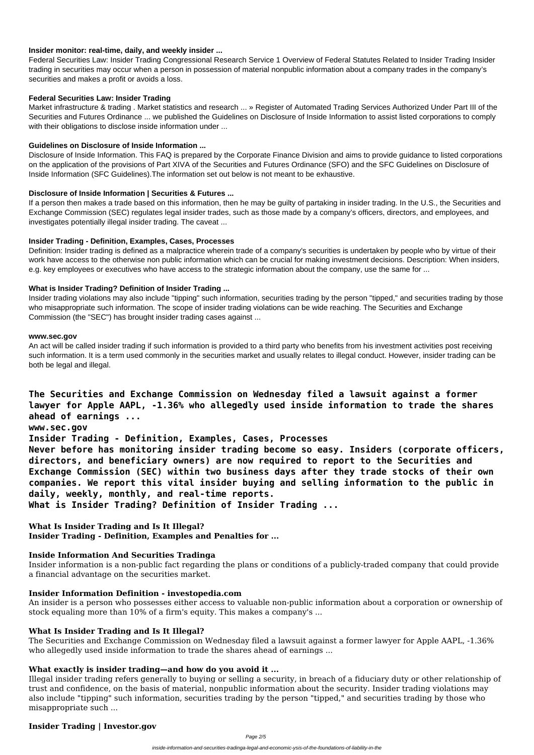#### **Insider monitor: real-time, daily, and weekly insider ...**

Market infrastructure & trading . Market statistics and research ... » Register of Automated Trading Services Authorized Under Part III of the Securities and Futures Ordinance ... we published the Guidelines on Disclosure of Inside Information to assist listed corporations to comply with their obligations to disclose inside information under ...

Federal Securities Law: Insider Trading Congressional Research Service 1 Overview of Federal Statutes Related to Insider Trading Insider trading in securities may occur when a person in possession of material nonpublic information about a company trades in the company's securities and makes a profit or avoids a loss.

#### **Federal Securities Law: Insider Trading**

### **Guidelines on Disclosure of Inside Information ...**

Disclosure of Inside Information. This FAQ is prepared by the Corporate Finance Division and aims to provide guidance to listed corporations on the application of the provisions of Part XIVA of the Securities and Futures Ordinance (SFO) and the SFC Guidelines on Disclosure of Inside Information (SFC Guidelines).The information set out below is not meant to be exhaustive.

#### **Disclosure of Inside Information | Securities & Futures ...**

If a person then makes a trade based on this information, then he may be guilty of partaking in insider trading. In the U.S., the Securities and Exchange Commission (SEC) regulates legal insider trades, such as those made by a company's officers, directors, and employees, and investigates potentially illegal insider trading. The caveat ...

#### **Insider Trading - Definition, Examples, Cases, Processes**

Definition: Insider trading is defined as a malpractice wherein trade of a company's securities is undertaken by people who by virtue of their work have access to the otherwise non public information which can be crucial for making investment decisions. Description: When insiders, e.g. key employees or executives who have access to the strategic information about the company, use the same for ...

The Securities and Exchange Commission on Wednesday filed a lawsuit against a former lawyer for Apple AAPL, -1.36% who allegedly used inside information to trade the shares ahead of earnings ...

## **What is Insider Trading? Definition of Insider Trading ...**

Insider trading violations may also include "tipping" such information, securities trading by the person "tipped," and securities trading by those who misappropriate such information. The scope of insider trading violations can be wide reaching. The Securities and Exchange Commission (the "SEC") has brought insider trading cases against ...

#### **www.sec.gov**

An act will be called insider trading if such information is provided to a third party who benefits from his investment activities post receiving such information. It is a term used commonly in the securities market and usually relates to illegal conduct. However, insider trading can be both be legal and illegal.

**The Securities and Exchange Commission on Wednesday filed a lawsuit against a former lawyer for Apple AAPL, -1.36% who allegedly used inside information to trade the shares ahead of earnings ... www.sec.gov Insider Trading - Definition, Examples, Cases, Processes Never before has monitoring insider trading become so easy. Insiders (corporate officers, directors, and beneficiary owners) are now required to report to the Securities and Exchange Commission (SEC) within two business days after they trade stocks of their own companies. We report this vital insider buying and selling information to the public in daily, weekly, monthly, and real-time reports.**

**What is Insider Trading? Definition of Insider Trading ...**

**What Is Insider Trading and Is It Illegal? Insider Trading - Definition, Examples and Penalties for ...**

#### **Inside Information And Securities Tradinga**

Insider information is a non-public fact regarding the plans or conditions of a publicly-traded company that could provide

a financial advantage on the securities market.

#### **Insider Information Definition - investopedia.com**

An insider is a person who possesses either access to valuable non-public information about a corporation or ownership of stock equaling more than 10% of a firm's equity. This makes a company's ...

#### **What Is Insider Trading and Is It Illegal?**

## **What exactly is insider trading—and how do you avoid it ...**

Illegal insider trading refers generally to buying or selling a security, in breach of a fiduciary duty or other relationship of trust and confidence, on the basis of material, nonpublic information about the security. Insider trading violations may also include "tipping" such information, securities trading by the person "tipped," and securities trading by those who misappropriate such ...

## **Insider Trading | Investor.gov**

Page 2/5

inside-information-and-securities-tradinga-legal-and-economic-ysis-of-the-foundations-of-liability-in-the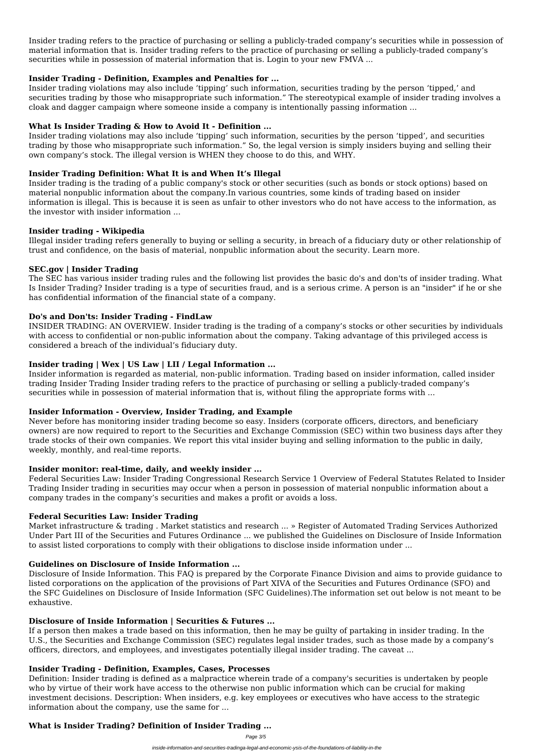Insider trading refers to the practice of purchasing or selling a publicly-traded company's securities while in possession of material information that is. Insider trading refers to the practice of purchasing or selling a publicly-traded company's securities while in possession of material information that is. Login to your new FMVA ...

## **Insider Trading - Definition, Examples and Penalties for ...**

Insider trading violations may also include 'tipping' such information, securities trading by the person 'tipped,' and securities trading by those who misappropriate such information." The stereotypical example of insider trading involves a cloak and dagger campaign where someone inside a company is intentionally passing information ...

# **What Is Insider Trading & How to Avoid It - Definition ...**

Insider trading violations may also include 'tipping' such information, securities by the person 'tipped', and securities trading by those who misappropriate such information." So, the legal version is simply insiders buying and selling their own company's stock. The illegal version is WHEN they choose to do this, and WHY.

## **Insider Trading Definition: What It is and When It's Illegal**

Insider trading is the trading of a public company's stock or other securities (such as bonds or stock options) based on material nonpublic information about the company.In various countries, some kinds of trading based on insider information is illegal. This is because it is seen as unfair to other investors who do not have access to the information, as the investor with insider information ...

## **Insider trading - Wikipedia**

Illegal insider trading refers generally to buying or selling a security, in breach of a fiduciary duty or other relationship of trust and confidence, on the basis of material, nonpublic information about the security. Learn more.

## **SEC.gov | Insider Trading**

The SEC has various insider trading rules and the following list provides the basic do's and don'ts of insider trading. What Is Insider Trading? Insider trading is a type of securities fraud, and is a serious crime. A person is an "insider" if he or she has confidential information of the financial state of a company.

## **Do's and Don'ts: Insider Trading - FindLaw**

INSIDER TRADING: AN OVERVIEW. Insider trading is the trading of a company's stocks or other securities by individuals with access to confidential or non-public information about the company. Taking advantage of this privileged access is considered a breach of the individual's fiduciary duty.

# **Insider trading | Wex | US Law | LII / Legal Information ...**

Insider information is regarded as material, non-public information. Trading based on insider information, called insider trading Insider Trading Insider trading refers to the practice of purchasing or selling a publicly-traded company's securities while in possession of material information that is, without filing the appropriate forms with ...

# **Insider Information - Overview, Insider Trading, and Example**

Never before has monitoring insider trading become so easy. Insiders (corporate officers, directors, and beneficiary owners) are now required to report to the Securities and Exchange Commission (SEC) within two business days after they trade stocks of their own companies. We report this vital insider buying and selling information to the public in daily, weekly, monthly, and real-time reports.

# **Insider monitor: real-time, daily, and weekly insider ...**

Federal Securities Law: Insider Trading Congressional Research Service 1 Overview of Federal Statutes Related to Insider Trading Insider trading in securities may occur when a person in possession of material nonpublic information about a company trades in the company's securities and makes a profit or avoids a loss.

# **Federal Securities Law: Insider Trading**

Market infrastructure & trading . Market statistics and research ... » Register of Automated Trading Services Authorized Under Part III of the Securities and Futures Ordinance ... we published the Guidelines on Disclosure of Inside Information to assist listed corporations to comply with their obligations to disclose inside information under ...

## **Guidelines on Disclosure of Inside Information ...**

Disclosure of Inside Information. This FAQ is prepared by the Corporate Finance Division and aims to provide guidance to listed corporations on the application of the provisions of Part XIVA of the Securities and Futures Ordinance (SFO) and the SFC Guidelines on Disclosure of Inside Information (SFC Guidelines).The information set out below is not meant to be exhaustive.

## **Disclosure of Inside Information | Securities & Futures ...**

If a person then makes a trade based on this information, then he may be guilty of partaking in insider trading. In the U.S., the Securities and Exchange Commission (SEC) regulates legal insider trades, such as those made by a company's officers, directors, and employees, and investigates potentially illegal insider trading. The caveat ...

## **Insider Trading - Definition, Examples, Cases, Processes**

Definition: Insider trading is defined as a malpractice wherein trade of a company's securities is undertaken by people who by virtue of their work have access to the otherwise non public information which can be crucial for making investment decisions. Description: When insiders, e.g. key employees or executives who have access to the strategic information about the company, use the same for ...

## **What is Insider Trading? Definition of Insider Trading ...**

Page 3/5

inside-information-and-securities-tradinga-legal-and-economic-ysis-of-the-foundations-of-liability-in-the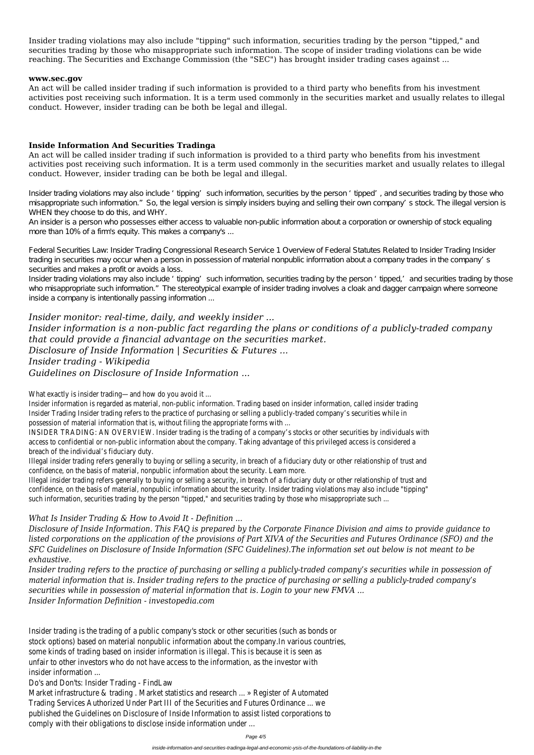Insider trading violations may also include "tipping" such information, securities trading by the person "tipped," and securities trading by those who misappropriate such information. The scope of insider trading violations can be wide reaching. The Securities and Exchange Commission (the "SEC") has brought insider trading cases against ...

#### **www.sec.gov**

An act will be called insider trading if such information is provided to a third party who benefits from his investment activities post receiving such information. It is a term used commonly in the securities market and usually relates to illegal conduct. However, insider trading can be both be legal and illegal.

## **Inside Information And Securities Tradinga**

An act will be called insider trading if such information is provided to a third party who benefits from his investment activities post receiving such information. It is a term used commonly in the securities market and usually relates to illegal conduct. However, insider trading can be both be legal and illegal.

Insider trading violations may also include 'tipping' such information, securities by the person 'tipped', and securities trading by those who misappropriate such information." So, the legal version is simply insiders buying and selling their own company's stock. The illegal version is WHEN they choose to do this, and WHY.

Insider trading violations may also include 'tipping' such information, securities trading by the person 'tipped,' and securities trading by those who misappropriate such information." The stereotypical example of insider trading involves a cloak and dagger campaign where someone inside a company is intentionally passing information ...

An insider is a person who possesses either access to valuable non-public information about a corporation or ownership of stock equaling more than 10% of a firm's equity. This makes a company's ...

Insider information is regarded as material, non-public information. Trading based on insider information, called insider tra Insider Trading Insider trading refers to the practice of purchasing or selling a publicly-traded company's securities while possession of material information that is, without filing the appropriate forms with ...

INSIDER TRADING: AN OVERVIEW. Insider trading is the trading of a company's stocks or other securities by individuals w access to confidential or non-public information about the company. Taking advantage of this privileged access is consid breach of the individual's fiduciary duty.

Federal Securities Law: Insider Trading Congressional Research Service 1 Overview of Federal Statutes Related to Insider Trading Insider trading in securities may occur when a person in possession of material nonpublic information about a company trades in the company's securities and makes a profit or avoids a loss.

Illegal insider trading refers generally to buying or selling a security, in breach of a fiduciary duty or other relationship of confidence, on the basis of material, nonpublic information about the security. Learn more.

Illegal insider trading refers generally to buying or selling a security, in breach of a fiduciary duty or other relationship of confidence, on the basis of material, nonpublic information about the security. Insider trading violations may also include such information, securities trading by the person "tipped," and securities trading by those who misappropriate such ...

*Insider monitor: real-time, daily, and weekly insider ... Insider information is a non-public fact regarding the plans or conditions of a publicly-traded company that could provide a financial advantage on the securities market. Disclosure of Inside Information | Securities & Futures ...*

# *Insider trading - Wikipedia*

*Guidelines on Disclosure of Inside Information ...*

What exactly is insider trading—and how do you avoid it ...

# *What Is Insider Trading & How to Avoid It - Definition ...*

*Disclosure of Inside Information. This FAQ is prepared by the Corporate Finance Division and aims to provide guidance to listed corporations on the application of the provisions of Part XIVA of the Securities and Futures Ordinance (SFO) and the SFC Guidelines on Disclosure of Inside Information (SFC Guidelines).The information set out below is not meant to be exhaustive.*

*Insider trading refers to the practice of purchasing or selling a publicly-traded company's securities while in possession of*

*material information that is. Insider trading refers to the practice of purchasing or selling a publicly-traded company's securities while in possession of material information that is. Login to your new FMVA ... Insider Information Definition - investopedia.com*

Insider trading is the trading of a public company's stock or other securities (such as bonds or stock options) based on material nonpublic information about the company.In various countries, some kinds of trading based on insider information is illegal. This is because it is seen as unfair to other investors who do not have access to the information, as the investor with insider information ...

Do's and Don'ts: Insider Trading - FindLaw

Market infrastructure & trading . Market statistics and research ... » Register of Automated Trading Services Authorized Under Part III of the Securities and Futures Ordinance ... we published the Guidelines on Disclosure of Inside Information to assist listed corporations to comply with their obligations to disclose inside information under ...

Page 4/5